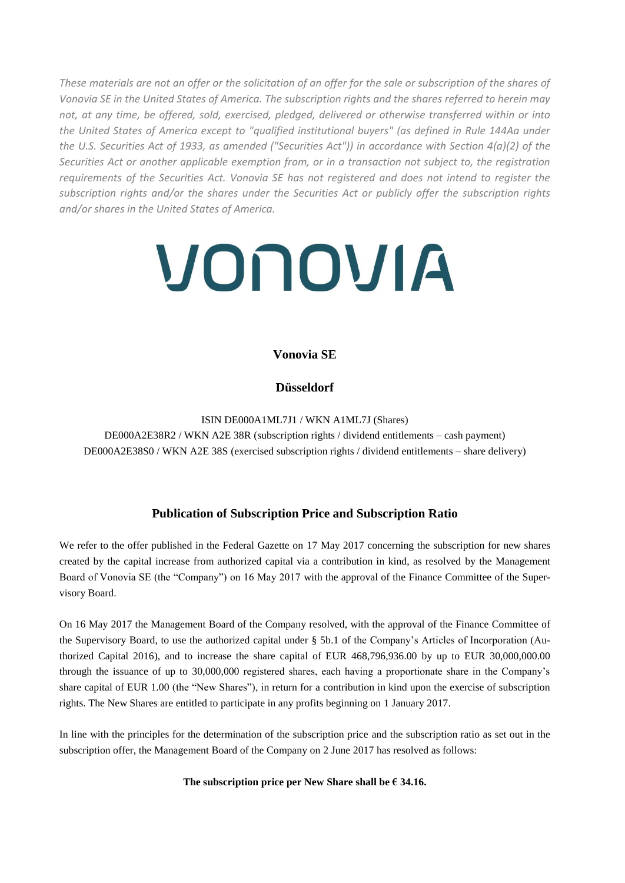*These materials are not an offer or the solicitation of an offer for the sale or subscription of the shares of Vonovia SE in the United States of America. The subscription rights and the shares referred to herein may not, at any time, be offered, sold, exercised, pledged, delivered or otherwise transferred within or into the United States of America except to "qualified institutional buyers" (as defined in Rule 144Aa under the U.S. Securities Act of 1933, as amended ("Securities Act")) in accordance with Section 4(a)(2) of the Securities Act or another applicable exemption from, or in a transaction not subject to, the registration requirements of the Securities Act. Vonovia SE has not registered and does not intend to register the subscription rights and/or the shares under the Securities Act or publicly offer the subscription rights and/or shares in the United States of America.*

# VONOVIA

# **Vonovia SE**

# **Düsseldorf**

ISIN DE000A1ML7J1 / WKN A1ML7J (Shares) DE000A2E38R2 / WKN A2E 38R (subscription rights / dividend entitlements – cash payment) DE000A2E38S0 / WKN A2E 38S (exercised subscription rights / dividend entitlements – share delivery)

## **Publication of Subscription Price and Subscription Ratio**

We refer to the offer published in the Federal Gazette on 17 May 2017 concerning the subscription for new shares created by the capital increase from authorized capital via a contribution in kind, as resolved by the Management Board of Vonovia SE (the "Company") on 16 May 2017 with the approval of the Finance Committee of the Supervisory Board.

On 16 May 2017 the Management Board of the Company resolved, with the approval of the Finance Committee of the Supervisory Board, to use the authorized capital under § 5b.1 of the Company's Articles of Incorporation (Authorized Capital 2016), and to increase the share capital of EUR 468,796,936.00 by up to EUR 30,000,000.00 through the issuance of up to 30,000,000 registered shares, each having a proportionate share in the Company's share capital of EUR 1.00 (the "New Shares"), in return for a contribution in kind upon the exercise of subscription rights. The New Shares are entitled to participate in any profits beginning on 1 January 2017.

In line with the principles for the determination of the subscription price and the subscription ratio as set out in the subscription offer, the Management Board of the Company on 2 June 2017 has resolved as follows:

### **The subscription price per New Share shall be € 34.16.**